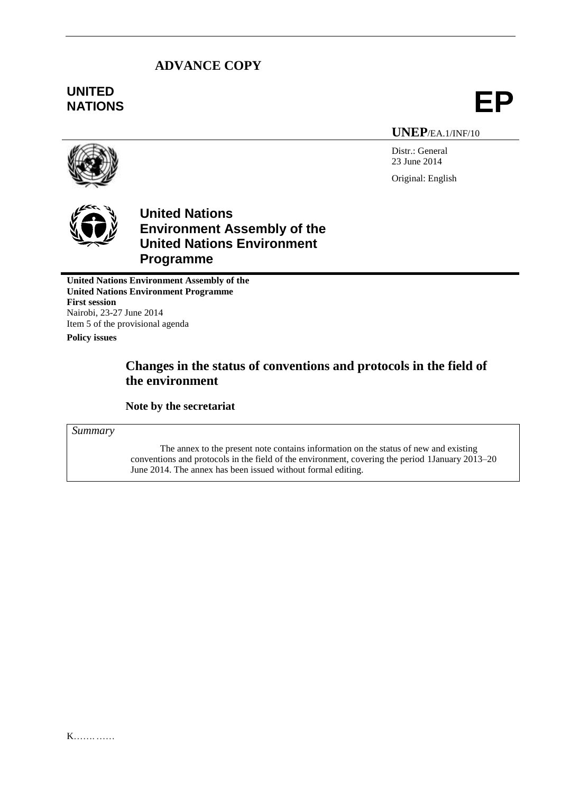## **ADVANCE COPY**

# **UNITED** UNITED<br>NATIONS **EP**

**UNEP**/EA.1/INF/10

Distr.: General 23 June 2014 Original: English





## **United Nations Environment Assembly of the United Nations Environment Programme**

**United Nations Environment Assembly of the United Nations Environment Programme First session** Nairobi, 23-27 June 2014 Item 5 of the provisional agenda **Policy issues**

## **Changes in the status of conventions and protocols in the field of the environment**

**Note by the secretariat**

*Summary*

The annex to the present note contains information on the status of new and existing conventions and protocols in the field of the environment, covering the period 1January 2013–20 June 2014. The annex has been issued without formal editing.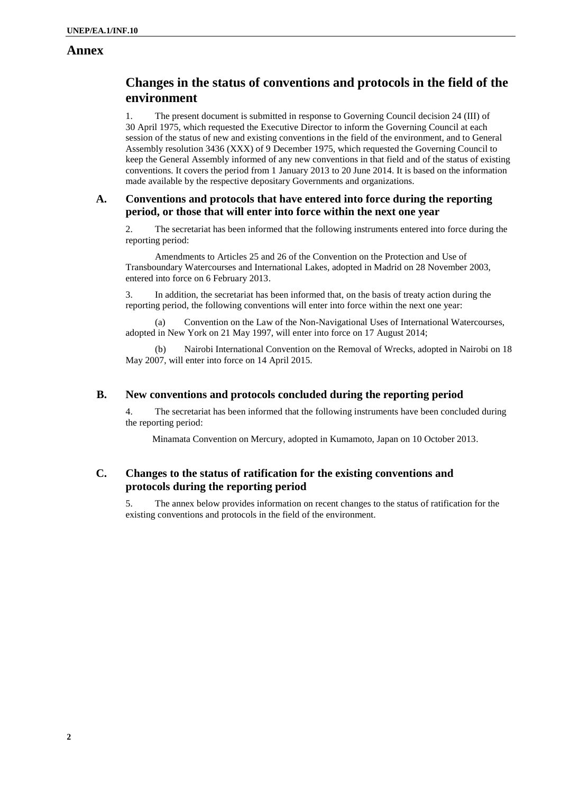### **Annex**

## **Changes in the status of conventions and protocols in the field of the environment**

1. The present document is submitted in response to Governing Council decision 24 (III) of 30 April 1975, which requested the Executive Director to inform the Governing Council at each session of the status of new and existing conventions in the field of the environment, and to General Assembly resolution 3436 (XXX) of 9 December 1975, which requested the Governing Council to keep the General Assembly informed of any new conventions in that field and of the status of existing conventions. It covers the period from 1 January 2013 to 20 June 2014. It is based on the information made available by the respective depositary Governments and organizations.

#### **A. Conventions and protocols that have entered into force during the reporting period, or those that will enter into force within the next one year**

2. The secretariat has been informed that the following instruments entered into force during the reporting period:

Amendments to Articles 25 and 26 of the Convention on the Protection and Use of Transboundary Watercourses and International Lakes, adopted in Madrid on 28 November 2003, entered into force on 6 February 2013.

3. In addition, the secretariat has been informed that, on the basis of treaty action during the reporting period, the following conventions will enter into force within the next one year:

(a) Convention on the Law of the Non-Navigational Uses of International Watercourses, adopted in New York on 21 May 1997, will enter into force on 17 August 2014;

(b) Nairobi International Convention on the Removal of Wrecks, adopted in Nairobi on 18 May 2007, will enter into force on 14 April 2015.

#### **B. New conventions and protocols concluded during the reporting period**

4. The secretariat has been informed that the following instruments have been concluded during the reporting period:

Minamata Convention on Mercury, adopted in Kumamoto, Japan on 10 October 2013.

#### **C. Changes to the status of ratification for the existing conventions and protocols during the reporting period**

5. The annex below provides information on recent changes to the status of ratification for the existing conventions and protocols in the field of the environment.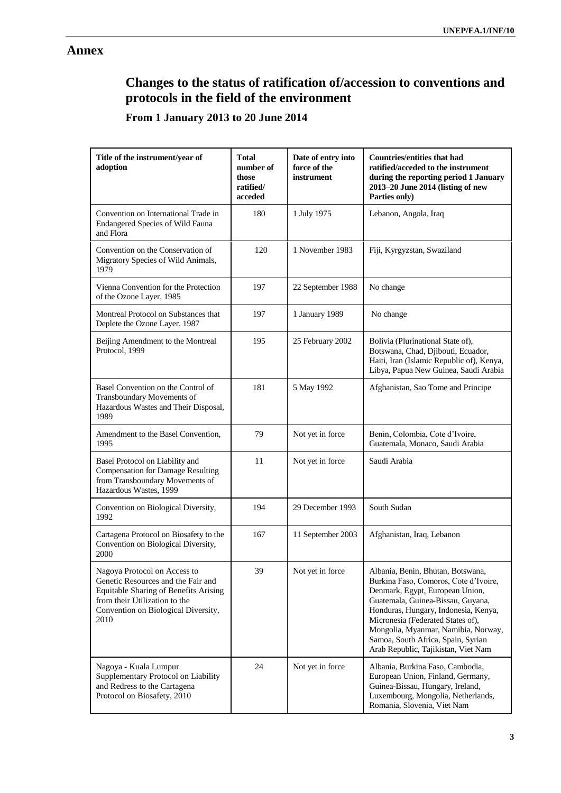## **Annex**

# **Changes to the status of ratification of/accession to conventions and protocols in the field of the environment**

## **From 1 January 2013 to 20 June 2014**

| Title of the instrument/year of<br>adoption                                                                                                                                                 | Total<br>number of<br>those<br>ratified/<br>acceded | Date of entry into<br>force of the<br>instrument | <b>Countries/entities that had</b><br>ratified/acceded to the instrument<br>during the reporting period 1 January<br>2013-20 June 2014 (listing of new<br>Parties only)                                                                                                                                                                             |
|---------------------------------------------------------------------------------------------------------------------------------------------------------------------------------------------|-----------------------------------------------------|--------------------------------------------------|-----------------------------------------------------------------------------------------------------------------------------------------------------------------------------------------------------------------------------------------------------------------------------------------------------------------------------------------------------|
| Convention on International Trade in<br>Endangered Species of Wild Fauna<br>and Flora                                                                                                       | 180                                                 | 1 July 1975                                      | Lebanon, Angola, Iraq                                                                                                                                                                                                                                                                                                                               |
| Convention on the Conservation of<br>Migratory Species of Wild Animals,<br>1979                                                                                                             | 120                                                 | 1 November 1983                                  | Fiji, Kyrgyzstan, Swaziland                                                                                                                                                                                                                                                                                                                         |
| Vienna Convention for the Protection<br>of the Ozone Layer, 1985                                                                                                                            | 197                                                 | 22 September 1988                                | No change                                                                                                                                                                                                                                                                                                                                           |
| Montreal Protocol on Substances that<br>Deplete the Ozone Layer, 1987                                                                                                                       | 197                                                 | 1 January 1989                                   | No change                                                                                                                                                                                                                                                                                                                                           |
| Beijing Amendment to the Montreal<br>Protocol, 1999                                                                                                                                         | 195                                                 | 25 February 2002                                 | Bolivia (Plurinational State of),<br>Botswana, Chad, Djibouti, Ecuador,<br>Haiti, Iran (Islamic Republic of), Kenya,<br>Libya, Papua New Guinea, Saudi Arabia                                                                                                                                                                                       |
| Basel Convention on the Control of<br>Transboundary Movements of<br>Hazardous Wastes and Their Disposal,<br>1989                                                                            | 181                                                 | 5 May 1992                                       | Afghanistan, Sao Tome and Principe                                                                                                                                                                                                                                                                                                                  |
| Amendment to the Basel Convention,<br>1995                                                                                                                                                  | 79                                                  | Not yet in force                                 | Benin, Colombia, Cote d'Ivoire,<br>Guatemala, Monaco, Saudi Arabia                                                                                                                                                                                                                                                                                  |
| Basel Protocol on Liability and<br><b>Compensation for Damage Resulting</b><br>from Transboundary Movements of<br>Hazardous Wastes, 1999                                                    | 11                                                  | Not yet in force                                 | Saudi Arabia                                                                                                                                                                                                                                                                                                                                        |
| Convention on Biological Diversity,<br>1992                                                                                                                                                 | 194                                                 | 29 December 1993                                 | South Sudan                                                                                                                                                                                                                                                                                                                                         |
| Cartagena Protocol on Biosafety to the<br>Convention on Biological Diversity,<br>2000                                                                                                       | 167                                                 | 11 September 2003                                | Afghanistan, Iraq, Lebanon                                                                                                                                                                                                                                                                                                                          |
| Nagoya Protocol on Access to<br>Genetic Resources and the Fair and<br>Equitable Sharing of Benefits Arising<br>from their Utilization to the<br>Convention on Biological Diversity,<br>2010 | 39                                                  | Not yet in force                                 | Albania, Benin, Bhutan, Botswana.<br>Burkina Faso, Comoros, Cote d'Ivoire,<br>Denmark, Egypt, European Union,<br>Guatemala, Guinea-Bissau, Guyana,<br>Honduras, Hungary, Indonesia, Kenya,<br>Micronesia (Federated States of),<br>Mongolia, Myanmar, Namibia, Norway,<br>Samoa, South Africa, Spain, Syrian<br>Arab Republic, Tajikistan, Viet Nam |
| Nagoya - Kuala Lumpur<br>Supplementary Protocol on Liability<br>and Redress to the Cartagena<br>Protocol on Biosafety, 2010                                                                 | 24                                                  | Not yet in force                                 | Albania, Burkina Faso, Cambodia,<br>European Union, Finland, Germany,<br>Guinea-Bissau, Hungary, Ireland,<br>Luxembourg, Mongolia, Netherlands,<br>Romania, Slovenia, Viet Nam                                                                                                                                                                      |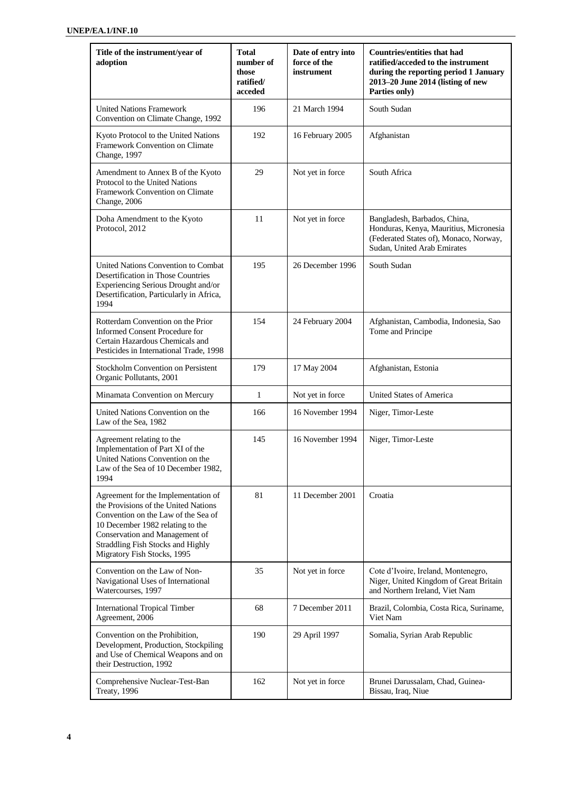| Title of the instrument/year of<br>adoption                                                                                                                                                                                                                         | <b>Total</b><br>number of<br>those<br>ratified/<br>acceded | Date of entry into<br>force of the<br>instrument | <b>Countries/entities that had</b><br>ratified/acceded to the instrument<br>during the reporting period 1 January<br>2013-20 June 2014 (listing of new<br>Parties only) |
|---------------------------------------------------------------------------------------------------------------------------------------------------------------------------------------------------------------------------------------------------------------------|------------------------------------------------------------|--------------------------------------------------|-------------------------------------------------------------------------------------------------------------------------------------------------------------------------|
| <b>United Nations Framework</b><br>Convention on Climate Change, 1992                                                                                                                                                                                               | 196                                                        | 21 March 1994                                    | South Sudan                                                                                                                                                             |
| Kyoto Protocol to the United Nations<br>Framework Convention on Climate<br>Change, 1997                                                                                                                                                                             | 192                                                        | 16 February 2005                                 | Afghanistan                                                                                                                                                             |
| Amendment to Annex B of the Kyoto<br>Protocol to the United Nations<br>Framework Convention on Climate<br>Change, 2006                                                                                                                                              | 29                                                         | Not yet in force                                 | South Africa                                                                                                                                                            |
| Doha Amendment to the Kyoto<br>Protocol, 2012                                                                                                                                                                                                                       | 11                                                         | Not yet in force                                 | Bangladesh, Barbados, China,<br>Honduras, Kenya, Mauritius, Micronesia<br>(Federated States of), Monaco, Norway,<br>Sudan, United Arab Emirates                         |
| United Nations Convention to Combat<br>Desertification in Those Countries<br>Experiencing Serious Drought and/or<br>Desertification, Particularly in Africa,<br>1994                                                                                                | 195                                                        | 26 December 1996                                 | South Sudan                                                                                                                                                             |
| Rotterdam Convention on the Prior<br><b>Informed Consent Procedure for</b><br>Certain Hazardous Chemicals and<br>Pesticides in International Trade, 1998                                                                                                            | 154                                                        | 24 February 2004                                 | Afghanistan, Cambodia, Indonesia, Sao<br>Tome and Principe                                                                                                              |
| Stockholm Convention on Persistent<br>Organic Pollutants, 2001                                                                                                                                                                                                      | 179                                                        | 17 May 2004                                      | Afghanistan, Estonia                                                                                                                                                    |
| Minamata Convention on Mercury                                                                                                                                                                                                                                      | $\mathbf{1}$                                               | Not yet in force                                 | United States of America                                                                                                                                                |
| United Nations Convention on the<br>Law of the Sea, 1982                                                                                                                                                                                                            | 166                                                        | 16 November 1994                                 | Niger, Timor-Leste                                                                                                                                                      |
| Agreement relating to the<br>Implementation of Part XI of the<br>United Nations Convention on the<br>Law of the Sea of 10 December 1982,<br>1994                                                                                                                    | 145                                                        | 16 November 1994                                 | Niger, Timor-Leste                                                                                                                                                      |
| Agreement for the Implementation of<br>the Provisions of the United Nations<br>Convention on the Law of the Sea of<br>10 December 1982 relating to the<br>Conservation and Management of<br><b>Straddling Fish Stocks and Highly</b><br>Migratory Fish Stocks, 1995 | 81                                                         | 11 December 2001                                 | Croatia                                                                                                                                                                 |
| Convention on the Law of Non-<br>Navigational Uses of International<br>Watercourses, 1997                                                                                                                                                                           | 35                                                         | Not yet in force                                 | Cote d'Ivoire, Ireland, Montenegro,<br>Niger, United Kingdom of Great Britain<br>and Northern Ireland, Viet Nam                                                         |
| <b>International Tropical Timber</b><br>Agreement, 2006                                                                                                                                                                                                             | 68                                                         | 7 December 2011                                  | Brazil, Colombia, Costa Rica, Suriname,<br>Viet Nam                                                                                                                     |
| Convention on the Prohibition,<br>Development, Production, Stockpiling<br>and Use of Chemical Weapons and on<br>their Destruction, 1992                                                                                                                             | 190                                                        | 29 April 1997                                    | Somalia, Syrian Arab Republic                                                                                                                                           |
| Comprehensive Nuclear-Test-Ban<br>Treaty, 1996                                                                                                                                                                                                                      | 162                                                        | Not yet in force                                 | Brunei Darussalam, Chad, Guinea-<br>Bissau, Iraq, Niue                                                                                                                  |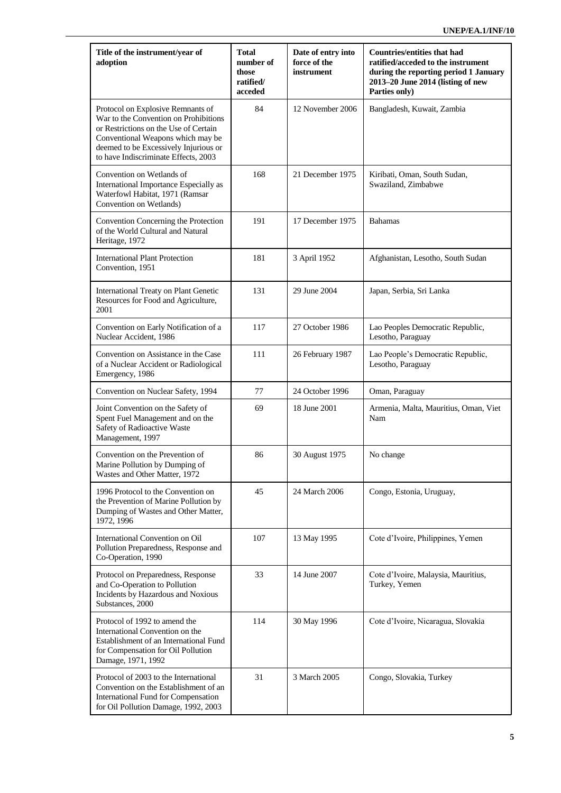| Title of the instrument/year of<br>adoption                                                                                                                                                                                               | <b>Total</b><br>number of<br>those<br>ratified/<br>acceded | Date of entry into<br>force of the<br>instrument | <b>Countries/entities that had</b><br>ratified/acceded to the instrument<br>during the reporting period 1 January<br>2013-20 June 2014 (listing of new<br>Parties only) |
|-------------------------------------------------------------------------------------------------------------------------------------------------------------------------------------------------------------------------------------------|------------------------------------------------------------|--------------------------------------------------|-------------------------------------------------------------------------------------------------------------------------------------------------------------------------|
| Protocol on Explosive Remnants of<br>War to the Convention on Prohibitions<br>or Restrictions on the Use of Certain<br>Conventional Weapons which may be<br>deemed to be Excessively Injurious or<br>to have Indiscriminate Effects, 2003 | 84                                                         | 12 November 2006                                 | Bangladesh, Kuwait, Zambia                                                                                                                                              |
| Convention on Wetlands of<br>International Importance Especially as<br>Waterfowl Habitat, 1971 (Ramsar<br>Convention on Wetlands)                                                                                                         | 168                                                        | 21 December 1975                                 | Kiribati, Oman, South Sudan,<br>Swaziland, Zimbabwe                                                                                                                     |
| Convention Concerning the Protection<br>of the World Cultural and Natural<br>Heritage, 1972                                                                                                                                               | 191                                                        | 17 December 1975                                 | <b>Bahamas</b>                                                                                                                                                          |
| <b>International Plant Protection</b><br>Convention, 1951                                                                                                                                                                                 | 181                                                        | 3 April 1952                                     | Afghanistan, Lesotho, South Sudan                                                                                                                                       |
| International Treaty on Plant Genetic<br>Resources for Food and Agriculture,<br>2001                                                                                                                                                      | 131                                                        | 29 June 2004                                     | Japan, Serbia, Sri Lanka                                                                                                                                                |
| Convention on Early Notification of a<br>Nuclear Accident, 1986                                                                                                                                                                           | 117                                                        | 27 October 1986                                  | Lao Peoples Democratic Republic,<br>Lesotho, Paraguay                                                                                                                   |
| Convention on Assistance in the Case<br>of a Nuclear Accident or Radiological<br>Emergency, 1986                                                                                                                                          | 111                                                        | 26 February 1987                                 | Lao People's Democratic Republic,<br>Lesotho, Paraguay                                                                                                                  |
| Convention on Nuclear Safety, 1994                                                                                                                                                                                                        | 77                                                         | 24 October 1996                                  | Oman, Paraguay                                                                                                                                                          |
| Joint Convention on the Safety of<br>Spent Fuel Management and on the<br>Safety of Radioactive Waste<br>Management, 1997                                                                                                                  | 69                                                         | 18 June 2001                                     | Armenia, Malta, Mauritius, Oman, Viet<br>Nam                                                                                                                            |
| Convention on the Prevention of<br>Marine Pollution by Dumping of<br>Wastes and Other Matter, 1972                                                                                                                                        | 86                                                         | 30 August 1975                                   | No change                                                                                                                                                               |
| 1996 Protocol to the Convention on<br>the Prevention of Marine Pollution by<br>Dumping of Wastes and Other Matter,<br>1972, 1996                                                                                                          | 45                                                         | 24 March 2006                                    | Congo, Estonia, Uruguay,                                                                                                                                                |
| International Convention on Oil<br>Pollution Preparedness, Response and<br>Co-Operation, 1990                                                                                                                                             | 107                                                        | 13 May 1995                                      | Cote d'Ivoire, Philippines, Yemen                                                                                                                                       |
| Protocol on Preparedness, Response<br>and Co-Operation to Pollution<br>Incidents by Hazardous and Noxious<br>Substances, 2000                                                                                                             | 33                                                         | 14 June 2007                                     | Cote d'Ivoire, Malaysia, Mauritius,<br>Turkey, Yemen                                                                                                                    |
| Protocol of 1992 to amend the<br>International Convention on the<br>Establishment of an International Fund<br>for Compensation for Oil Pollution<br>Damage, 1971, 1992                                                                    | 114                                                        | 30 May 1996                                      | Cote d'Ivoire, Nicaragua, Slovakia                                                                                                                                      |
| Protocol of 2003 to the International<br>Convention on the Establishment of an<br>International Fund for Compensation<br>for Oil Pollution Damage, 1992, 2003                                                                             | 31                                                         | 3 March 2005                                     | Congo, Slovakia, Turkey                                                                                                                                                 |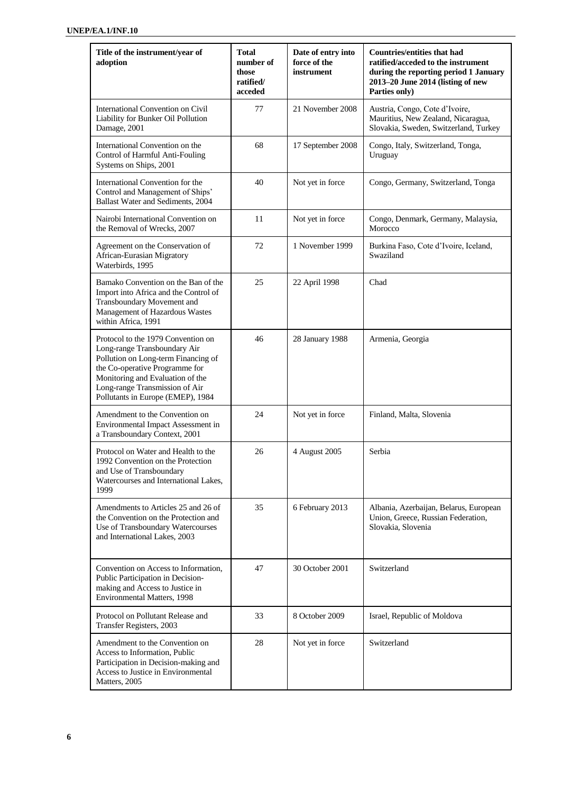| Title of the instrument/year of<br>adoption                                                                                                                                                                                                            | <b>Total</b><br>number of<br>those<br>ratified/<br>acceded | Date of entry into<br>force of the<br>instrument | <b>Countries/entities that had</b><br>ratified/acceded to the instrument<br>during the reporting period 1 January<br>2013-20 June 2014 (listing of new<br>Parties only) |
|--------------------------------------------------------------------------------------------------------------------------------------------------------------------------------------------------------------------------------------------------------|------------------------------------------------------------|--------------------------------------------------|-------------------------------------------------------------------------------------------------------------------------------------------------------------------------|
| International Convention on Civil<br>Liability for Bunker Oil Pollution<br>Damage, 2001                                                                                                                                                                | 77                                                         | 21 November 2008                                 | Austria, Congo, Cote d'Ivoire,<br>Mauritius, New Zealand, Nicaragua,<br>Slovakia, Sweden, Switzerland, Turkey                                                           |
| International Convention on the<br>Control of Harmful Anti-Fouling<br>Systems on Ships, 2001                                                                                                                                                           | 68                                                         | 17 September 2008                                | Congo, Italy, Switzerland, Tonga,<br>Uruguay                                                                                                                            |
| International Convention for the<br>Control and Management of Ships'<br>Ballast Water and Sediments, 2004                                                                                                                                              | 40                                                         | Not yet in force                                 | Congo, Germany, Switzerland, Tonga                                                                                                                                      |
| Nairobi International Convention on<br>the Removal of Wrecks, 2007                                                                                                                                                                                     | 11                                                         | Not yet in force                                 | Congo, Denmark, Germany, Malaysia,<br>Morocco                                                                                                                           |
| Agreement on the Conservation of<br>African-Eurasian Migratory<br>Waterbirds, 1995                                                                                                                                                                     | 72                                                         | 1 November 1999                                  | Burkina Faso, Cote d'Ivoire, Iceland,<br>Swaziland                                                                                                                      |
| Bamako Convention on the Ban of the<br>Import into Africa and the Control of<br>Transboundary Movement and<br>Management of Hazardous Wastes<br>within Africa, 1991                                                                                    | 25                                                         | 22 April 1998                                    | Chad                                                                                                                                                                    |
| Protocol to the 1979 Convention on<br>Long-range Transboundary Air<br>Pollution on Long-term Financing of<br>the Co-operative Programme for<br>Monitoring and Evaluation of the<br>Long-range Transmission of Air<br>Pollutants in Europe (EMEP), 1984 | 46                                                         | 28 January 1988                                  | Armenia, Georgia                                                                                                                                                        |
| Amendment to the Convention on<br>Environmental Impact Assessment in<br>a Transboundary Context, 2001                                                                                                                                                  | 24                                                         | Not yet in force                                 | Finland, Malta, Slovenia                                                                                                                                                |
| Protocol on Water and Health to the<br>1992 Convention on the Protection<br>and Use of Transboundary<br>Watercourses and International Lakes,<br>1999                                                                                                  | 26                                                         | 4 August 2005                                    | Serbia                                                                                                                                                                  |
| Amendments to Articles 25 and 26 of<br>the Convention on the Protection and<br>Use of Transboundary Watercourses<br>and International Lakes, 2003                                                                                                      | 35                                                         | 6 February 2013                                  | Albania, Azerbaijan, Belarus, European<br>Union, Greece, Russian Federation,<br>Slovakia, Slovenia                                                                      |
| Convention on Access to Information,<br>Public Participation in Decision-<br>making and Access to Justice in<br>Environmental Matters, 1998                                                                                                            | 47                                                         | 30 October 2001                                  | Switzerland                                                                                                                                                             |
| Protocol on Pollutant Release and<br>Transfer Registers, 2003                                                                                                                                                                                          | 33                                                         | 8 October 2009                                   | Israel, Republic of Moldova                                                                                                                                             |
| Amendment to the Convention on<br>Access to Information, Public<br>Participation in Decision-making and<br>Access to Justice in Environmental<br>Matters, 2005                                                                                         | 28                                                         | Not yet in force                                 | Switzerland                                                                                                                                                             |